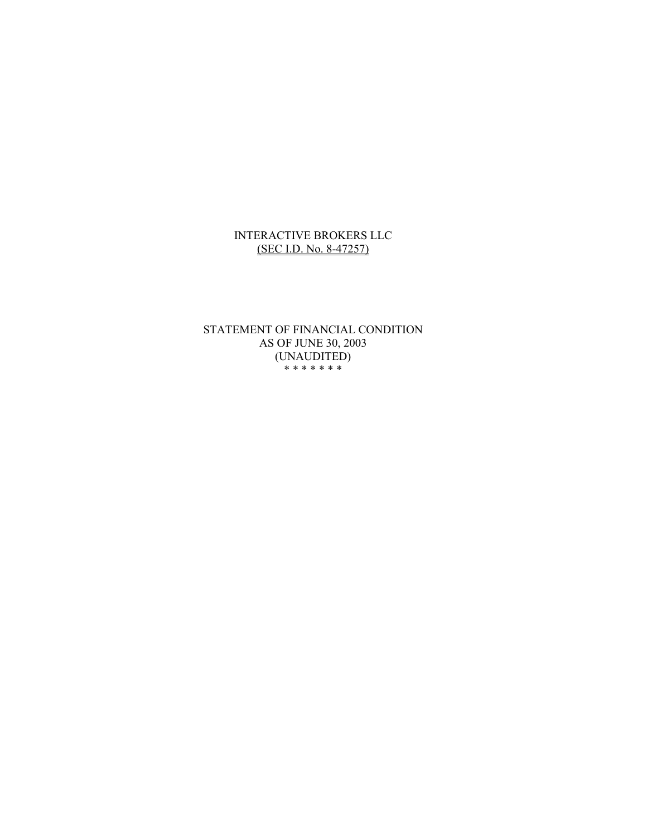#### INTERACTIVE BROKERS LLC (SEC I.D. No. 8-47257)

STATEMENT OF FINANCIAL CONDITION AS OF JUNE 30, 2003 (UNAUDITED) \* \* \* \* \* \* \*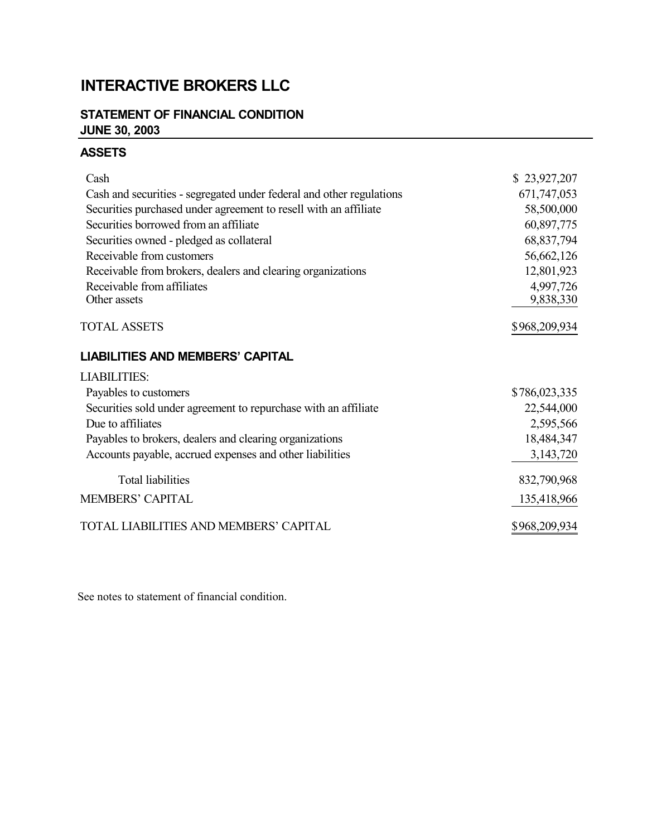# **INTERACTIVE BROKERS LLC**

## **STATEMENT OF FINANCIAL CONDITION JUNE 30, 2003**

### **ASSETS**

| Cash                                                                 | \$23,927,207  |
|----------------------------------------------------------------------|---------------|
| Cash and securities - segregated under federal and other regulations | 671,747,053   |
| Securities purchased under agreement to resell with an affiliate     | 58,500,000    |
| Securities borrowed from an affiliate                                | 60,897,775    |
| Securities owned - pledged as collateral                             | 68,837,794    |
| Receivable from customers                                            | 56,662,126    |
| Receivable from brokers, dealers and clearing organizations          | 12,801,923    |
| Receivable from affiliates                                           | 4,997,726     |
| Other assets                                                         | 9,838,330     |
| <b>TOTAL ASSETS</b>                                                  | \$968,209,934 |
| <b>LIABILITIES AND MEMBERS' CAPITAL</b>                              |               |
| <b>LIABILITIES:</b>                                                  |               |
| Payables to customers                                                | \$786,023,335 |
| Securities sold under agreement to repurchase with an affiliate      | 22,544,000    |
| Due to affiliates                                                    | 2,595,566     |
| Payables to brokers, dealers and clearing organizations              | 18,484,347    |
| Accounts payable, accrued expenses and other liabilities             | 3,143,720     |
| <b>Total liabilities</b>                                             | 832,790,968   |
| MEMBERS' CAPITAL                                                     | 135,418,966   |
| TOTAL LIABILITIES AND MEMBERS' CAPITAL                               | \$968,209,934 |

See notes to statement of financial condition.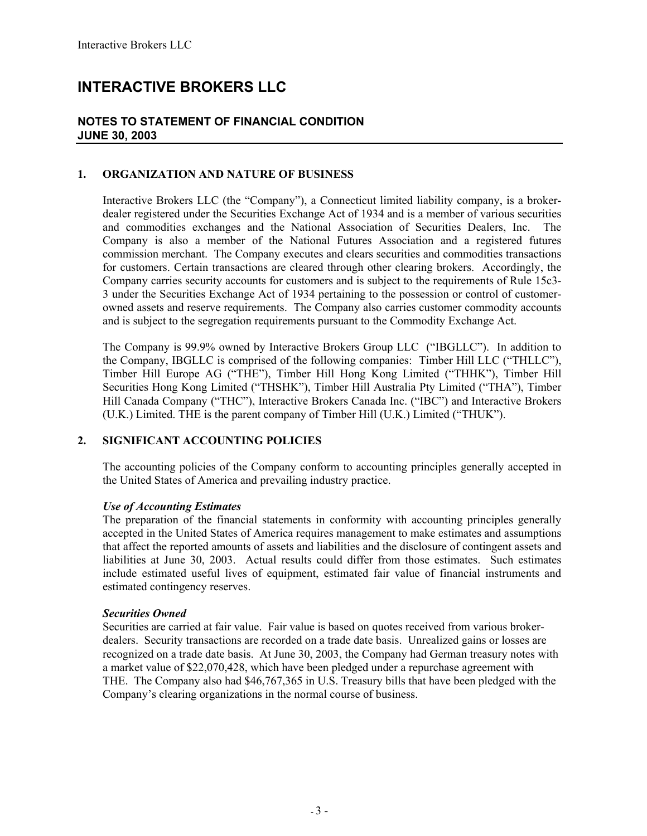## **INTERACTIVE BROKERS LLC**

#### **NOTES TO STATEMENT OF FINANCIAL CONDITION JUNE 30, 2003**

#### **1. ORGANIZATION AND NATURE OF BUSINESS**

Interactive Brokers LLC (the "Company"), a Connecticut limited liability company, is a brokerdealer registered under the Securities Exchange Act of 1934 and is a member of various securities and commodities exchanges and the National Association of Securities Dealers, Inc. The Company is also a member of the National Futures Association and a registered futures commission merchant. The Company executes and clears securities and commodities transactions for customers. Certain transactions are cleared through other clearing brokers. Accordingly, the Company carries security accounts for customers and is subject to the requirements of Rule 15c3- 3 under the Securities Exchange Act of 1934 pertaining to the possession or control of customerowned assets and reserve requirements. The Company also carries customer commodity accounts and is subject to the segregation requirements pursuant to the Commodity Exchange Act.

The Company is 99.9% owned by Interactive Brokers Group LLC ("IBGLLC"). In addition to the Company, IBGLLC is comprised of the following companies: Timber Hill LLC ("THLLC"), Timber Hill Europe AG ("THE"), Timber Hill Hong Kong Limited ("THHK"), Timber Hill Securities Hong Kong Limited ("THSHK"), Timber Hill Australia Pty Limited ("THA"), Timber Hill Canada Company ("THC"), Interactive Brokers Canada Inc. ("IBC") and Interactive Brokers (U.K.) Limited. THE is the parent company of Timber Hill (U.K.) Limited ("THUK").

#### **2. SIGNIFICANT ACCOUNTING POLICIES**

The accounting policies of the Company conform to accounting principles generally accepted in the United States of America and prevailing industry practice.

#### *Use of Accounting Estimates*

The preparation of the financial statements in conformity with accounting principles generally accepted in the United States of America requires management to make estimates and assumptions that affect the reported amounts of assets and liabilities and the disclosure of contingent assets and liabilities at June 30, 2003. Actual results could differ from those estimates. Such estimates include estimated useful lives of equipment, estimated fair value of financial instruments and estimated contingency reserves.

#### *Securities Owned*

Securities are carried at fair value. Fair value is based on quotes received from various brokerdealers. Security transactions are recorded on a trade date basis. Unrealized gains or losses are recognized on a trade date basis. At June 30, 2003, the Company had German treasury notes with a market value of \$22,070,428, which have been pledged under a repurchase agreement with THE. The Company also had \$46,767,365 in U.S. Treasury bills that have been pledged with the Company's clearing organizations in the normal course of business.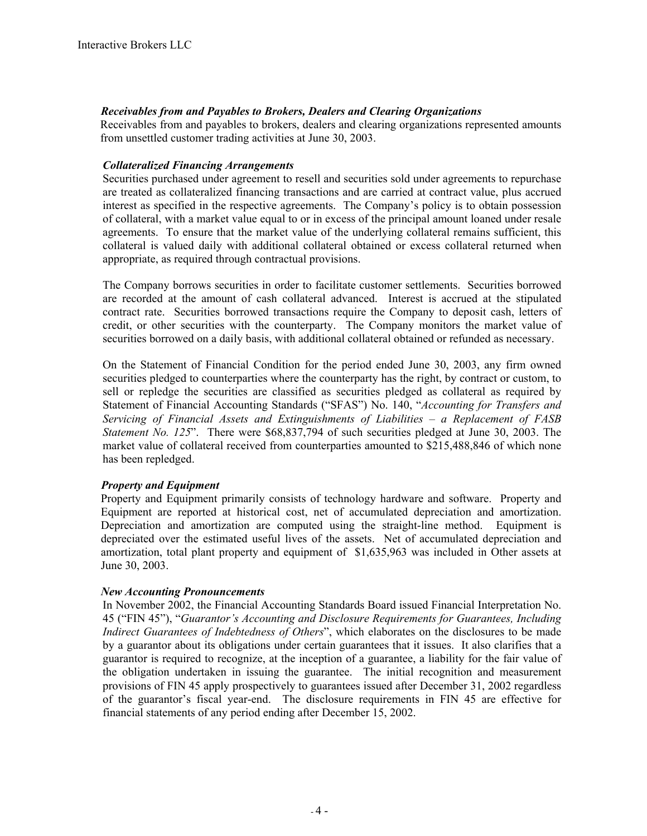#### *Receivables from and Payables to Brokers, Dealers and Clearing Organizations*

Receivables from and payables to brokers, dealers and clearing organizations represented amounts from unsettled customer trading activities at June 30, 2003.

#### *Collateralized Financing Arrangements*

Securities purchased under agreement to resell and securities sold under agreements to repurchase are treated as collateralized financing transactions and are carried at contract value, plus accrued interest as specified in the respective agreements. The Company's policy is to obtain possession of collateral, with a market value equal to or in excess of the principal amount loaned under resale agreements. To ensure that the market value of the underlying collateral remains sufficient, this collateral is valued daily with additional collateral obtained or excess collateral returned when appropriate, as required through contractual provisions.

The Company borrows securities in order to facilitate customer settlements. Securities borrowed are recorded at the amount of cash collateral advanced. Interest is accrued at the stipulated contract rate. Securities borrowed transactions require the Company to deposit cash, letters of credit, or other securities with the counterparty. The Company monitors the market value of securities borrowed on a daily basis, with additional collateral obtained or refunded as necessary.

On the Statement of Financial Condition for the period ended June 30, 2003, any firm owned securities pledged to counterparties where the counterparty has the right, by contract or custom, to sell or repledge the securities are classified as securities pledged as collateral as required by Statement of Financial Accounting Standards ("SFAS") No. 140, "*Accounting for Transfers and Servicing of Financial Assets and Extinguishments of Liabilities – a Replacement of FASB Statement No. 125*". There were \$68,837,794 of such securities pledged at June 30, 2003. The market value of collateral received from counterparties amounted to \$215,488,846 of which none has been repledged.

#### *Property and Equipment*

Property and Equipment primarily consists of technology hardware and software. Property and Equipment are reported at historical cost, net of accumulated depreciation and amortization. Depreciation and amortization are computed using the straight-line method. Equipment is depreciated over the estimated useful lives of the assets. Net of accumulated depreciation and amortization, total plant property and equipment of \$1,635,963 was included in Other assets at June 30, 2003.

#### *New Accounting Pronouncements*

In November 2002, the Financial Accounting Standards Board issued Financial Interpretation No. 45 ("FIN 45"), "*Guarantor's Accounting and Disclosure Requirements for Guarantees, Including Indirect Guarantees of Indebtedness of Others*", which elaborates on the disclosures to be made by a guarantor about its obligations under certain guarantees that it issues. It also clarifies that a guarantor is required to recognize, at the inception of a guarantee, a liability for the fair value of the obligation undertaken in issuing the guarantee. The initial recognition and measurement provisions of FIN 45 apply prospectively to guarantees issued after December 31, 2002 regardless of the guarantor's fiscal year-end. The disclosure requirements in FIN 45 are effective for financial statements of any period ending after December 15, 2002.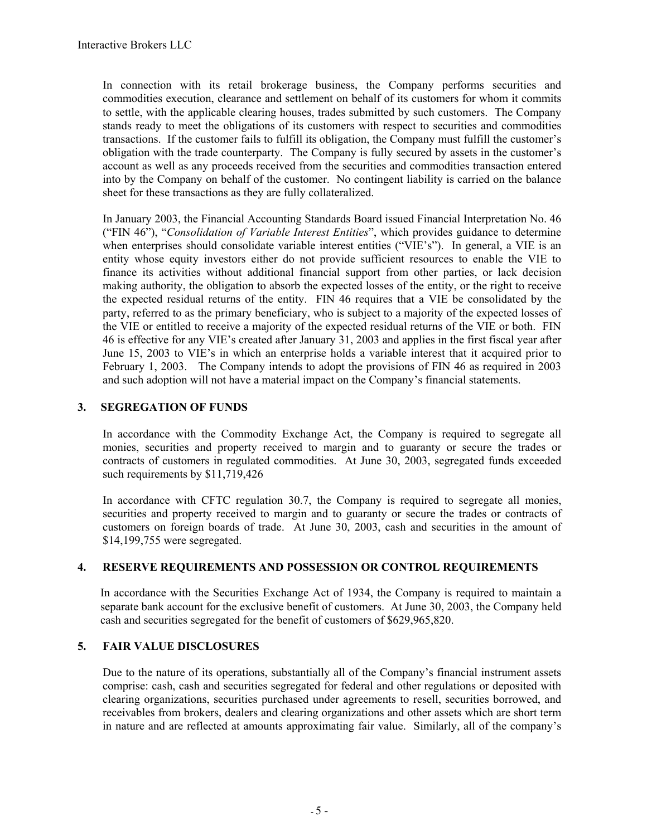In connection with its retail brokerage business, the Company performs securities and commodities execution, clearance and settlement on behalf of its customers for whom it commits to settle, with the applicable clearing houses, trades submitted by such customers. The Company stands ready to meet the obligations of its customers with respect to securities and commodities transactions. If the customer fails to fulfill its obligation, the Company must fulfill the customer's obligation with the trade counterparty. The Company is fully secured by assets in the customer's account as well as any proceeds received from the securities and commodities transaction entered into by the Company on behalf of the customer. No contingent liability is carried on the balance sheet for these transactions as they are fully collateralized.

In January 2003, the Financial Accounting Standards Board issued Financial Interpretation No. 46 ("FIN 46"), "*Consolidation of Variable Interest Entities*", which provides guidance to determine when enterprises should consolidate variable interest entities ("VIE's"). In general, a VIE is an entity whose equity investors either do not provide sufficient resources to enable the VIE to finance its activities without additional financial support from other parties, or lack decision making authority, the obligation to absorb the expected losses of the entity, or the right to receive the expected residual returns of the entity. FIN 46 requires that a VIE be consolidated by the party, referred to as the primary beneficiary, who is subject to a majority of the expected losses of the VIE or entitled to receive a majority of the expected residual returns of the VIE or both. FIN 46 is effective for any VIE's created after January 31, 2003 and applies in the first fiscal year after June 15, 2003 to VIE's in which an enterprise holds a variable interest that it acquired prior to February 1, 2003. The Company intends to adopt the provisions of FIN 46 as required in 2003 and such adoption will not have a material impact on the Company's financial statements.

#### **3. SEGREGATION OF FUNDS**

In accordance with the Commodity Exchange Act, the Company is required to segregate all monies, securities and property received to margin and to guaranty or secure the trades or contracts of customers in regulated commodities. At June 30, 2003, segregated funds exceeded such requirements by \$11,719,426

In accordance with CFTC regulation 30.7, the Company is required to segregate all monies, securities and property received to margin and to guaranty or secure the trades or contracts of customers on foreign boards of trade. At June 30, 2003, cash and securities in the amount of \$14,199,755 were segregated.

#### **4. RESERVE REQUIREMENTS AND POSSESSION OR CONTROL REQUIREMENTS**

In accordance with the Securities Exchange Act of 1934, the Company is required to maintain a separate bank account for the exclusive benefit of customers. At June 30, 2003, the Company held cash and securities segregated for the benefit of customers of \$629,965,820.

#### **5. FAIR VALUE DISCLOSURES**

Due to the nature of its operations, substantially all of the Company's financial instrument assets comprise: cash, cash and securities segregated for federal and other regulations or deposited with clearing organizations, securities purchased under agreements to resell, securities borrowed, and receivables from brokers, dealers and clearing organizations and other assets which are short term in nature and are reflected at amounts approximating fair value. Similarly, all of the company's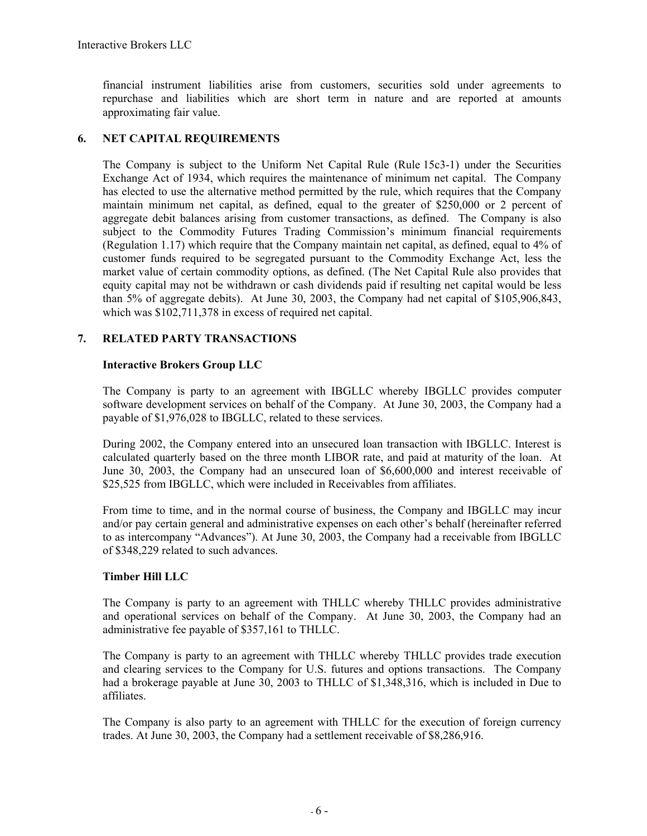financial instrument liabilities arise from customers, securities sold under agreements to repurchase and liabilities which are short term in nature and are reported at amounts approximating fair value.

#### **6. NET CAPITAL REQUIREMENTS**

The Company is subject to the Uniform Net Capital Rule (Rule 15c3-1) under the Securities Exchange Act of 1934, which requires the maintenance of minimum net capital. The Company has elected to use the alternative method permitted by the rule, which requires that the Company maintain minimum net capital, as defined, equal to the greater of \$250,000 or 2 percent of aggregate debit balances arising from customer transactions, as defined. The Company is also subject to the Commodity Futures Trading Commission's minimum financial requirements (Regulation 1.17) which require that the Company maintain net capital, as defined, equal to 4% of customer funds required to be segregated pursuant to the Commodity Exchange Act, less the market value of certain commodity options, as defined. (The Net Capital Rule also provides that equity capital may not be withdrawn or cash dividends paid if resulting net capital would be less than 5% of aggregate debits). At June 30, 2003, the Company had net capital of \$105,906,843, which was  $$102,711,378$  in excess of required net capital.

#### **7. RELATED PARTY TRANSACTIONS**

#### **Interactive Brokers Group LLC**

The Company is party to an agreement with IBGLLC whereby IBGLLC provides computer software development services on behalf of the Company. At June 30, 2003, the Company had a payable of \$1,976,028 to IBGLLC, related to these services.

During 2002, the Company entered into an unsecured loan transaction with IBGLLC. Interest is calculated quarterly based on the three month LIBOR rate, and paid at maturity of the loan. At June 30, 2003, the Company had an unsecured loan of \$6,600,000 and interest receivable of \$25,525 from IBGLLC, which were included in Receivables from affiliates.

From time to time, and in the normal course of business, the Company and IBGLLC may incur and/or pay certain general and administrative expenses on each other's behalf (hereinafter referred to as intercompany "Advances"). At June 30, 2003, the Company had a receivable from IBGLLC of \$348,229 related to such advances.

#### **Timber Hill LLC**

The Company is party to an agreement with THLLC whereby THLLC provides administrative and operational services on behalf of the Company. At June 30, 2003, the Company had an administrative fee payable of \$357,161 to THLLC.

The Company is party to an agreement with THLLC whereby THLLC provides trade execution and clearing services to the Company for U.S. futures and options transactions. The Company had a brokerage payable at June 30, 2003 to THLLC of \$1,348,316, which is included in Due to affiliates.

The Company is also party to an agreement with THLLC for the execution of foreign currency trades. At June 30, 2003, the Company had a settlement receivable of \$8,286,916.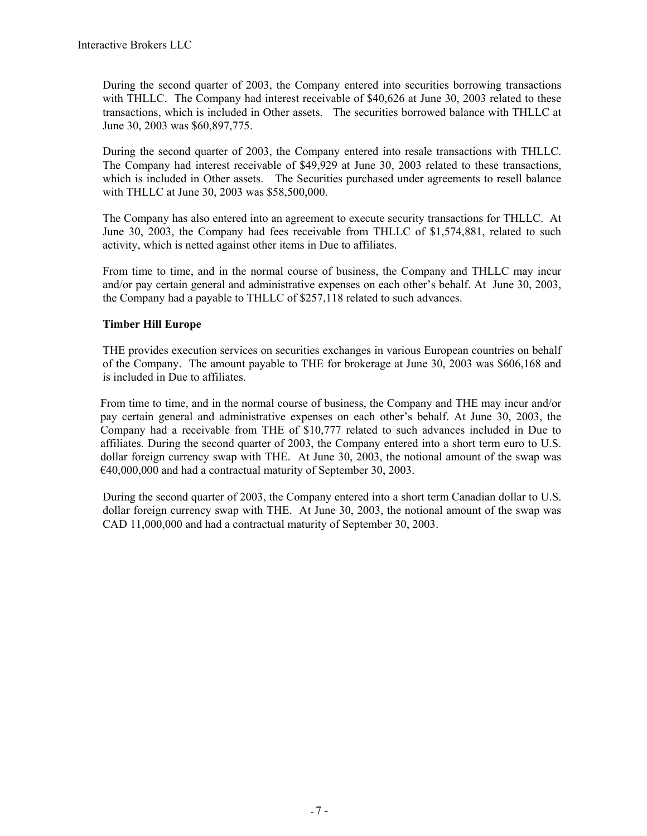During the second quarter of 2003, the Company entered into securities borrowing transactions with THLLC. The Company had interest receivable of \$40,626 at June 30, 2003 related to these transactions, which is included in Other assets. The securities borrowed balance with THLLC at June 30, 2003 was \$60,897,775.

During the second quarter of 2003, the Company entered into resale transactions with THLLC. The Company had interest receivable of \$49,929 at June 30, 2003 related to these transactions, which is included in Other assets. The Securities purchased under agreements to resell balance with THLLC at June 30, 2003 was \$58,500,000.

The Company has also entered into an agreement to execute security transactions for THLLC. At June 30, 2003, the Company had fees receivable from THLLC of \$1,574,881, related to such activity, which is netted against other items in Due to affiliates.

From time to time, and in the normal course of business, the Company and THLLC may incur and/or pay certain general and administrative expenses on each other's behalf. At June 30, 2003, the Company had a payable to THLLC of \$257,118 related to such advances.

#### **Timber Hill Europe**

THE provides execution services on securities exchanges in various European countries on behalf of the Company. The amount payable to THE for brokerage at June 30, 2003 was \$606,168 and is included in Due to affiliates.

From time to time, and in the normal course of business, the Company and THE may incur and/or pay certain general and administrative expenses on each other's behalf. At June 30, 2003, the Company had a receivable from THE of \$10,777 related to such advances included in Due to affiliates. During the second quarter of 2003, the Company entered into a short term euro to U.S. dollar foreign currency swap with THE. At June 30, 2003, the notional amount of the swap was €40,000,000 and had a contractual maturity of September 30, 2003.

During the second quarter of 2003, the Company entered into a short term Canadian dollar to U.S. dollar foreign currency swap with THE. At June 30, 2003, the notional amount of the swap was CAD 11,000,000 and had a contractual maturity of September 30, 2003.